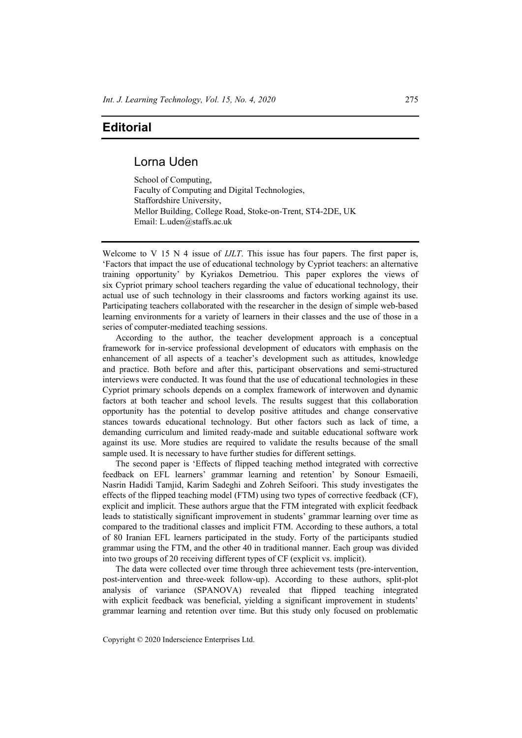## **Editorial**

## Lorna Uden

School of Computing, Faculty of Computing and Digital Technologies, Staffordshire University, Mellor Building, College Road, Stoke-on-Trent, ST4-2DE, UK Email: L.uden@staffs.ac.uk

Welcome to V 15 N 4 issue of *IJLT*. This issue has four papers. The first paper is, 'Factors that impact the use of educational technology by Cypriot teachers: an alternative training opportunity' by Kyriakos Demetriou. This paper explores the views of six Cypriot primary school teachers regarding the value of educational technology, their actual use of such technology in their classrooms and factors working against its use. Participating teachers collaborated with the researcher in the design of simple web-based learning environments for a variety of learners in their classes and the use of those in a series of computer-mediated teaching sessions.

According to the author, the teacher development approach is a conceptual framework for in-service professional development of educators with emphasis on the enhancement of all aspects of a teacher's development such as attitudes, knowledge and practice. Both before and after this, participant observations and semi-structured interviews were conducted. It was found that the use of educational technologies in these Cypriot primary schools depends on a complex framework of interwoven and dynamic factors at both teacher and school levels. The results suggest that this collaboration opportunity has the potential to develop positive attitudes and change conservative stances towards educational technology. But other factors such as lack of time, a demanding curriculum and limited ready-made and suitable educational software work against its use. More studies are required to validate the results because of the small sample used. It is necessary to have further studies for different settings.

The second paper is 'Effects of flipped teaching method integrated with corrective feedback on EFL learners' grammar learning and retention' by Sonour Esmaeili, Nasrin Hadidi Tamjid, Karim Sadeghi and Zohreh Seifoori. This study investigates the effects of the flipped teaching model (FTM) using two types of corrective feedback (CF), explicit and implicit. These authors argue that the FTM integrated with explicit feedback leads to statistically significant improvement in students' grammar learning over time as compared to the traditional classes and implicit FTM. According to these authors, a total of 80 Iranian EFL learners participated in the study. Forty of the participants studied grammar using the FTM, and the other 40 in traditional manner. Each group was divided into two groups of 20 receiving different types of CF (explicit vs. implicit).

The data were collected over time through three achievement tests (pre-intervention, post-intervention and three-week follow-up). According to these authors, split-plot analysis of variance (SPANOVA) revealed that flipped teaching integrated with explicit feedback was beneficial, yielding a significant improvement in students' grammar learning and retention over time. But this study only focused on problematic